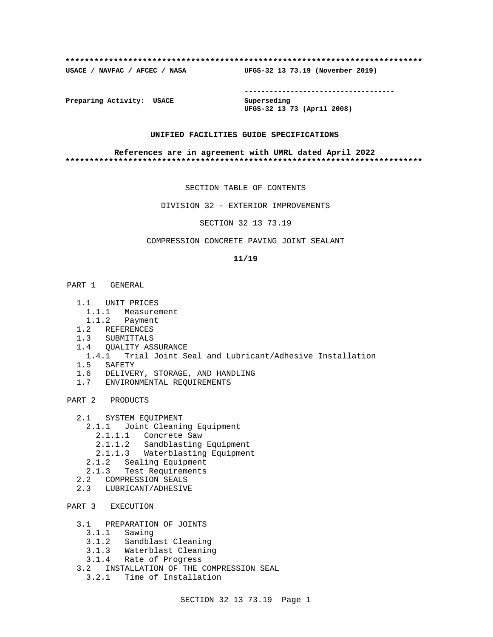#### **\*\*\*\*\*\*\*\*\*\*\*\*\*\*\*\*\*\*\*\*\*\*\*\*\*\*\*\*\*\*\*\*\*\*\*\*\*\*\*\*\*\*\*\*\*\*\*\*\*\*\*\*\*\*\*\*\*\*\*\*\*\*\*\*\*\*\*\*\*\*\*\*\*\***

**USACE / NAVFAC / AFCEC / NASA UFGS-32 13 73.19 (November 2019)**

**------------------------------------**

**Preparing Activity: USACE Superseding**

**UFGS-32 13 73 (April 2008)**

### **UNIFIED FACILITIES GUIDE SPECIFICATIONS**

#### **References are in agreement with UMRL dated April 2022 \*\*\*\*\*\*\*\*\*\*\*\*\*\*\*\*\*\*\*\*\*\*\*\*\*\*\*\*\*\*\*\*\*\*\*\*\*\*\*\*\*\*\*\*\*\*\*\*\*\*\*\*\*\*\*\*\*\*\*\*\*\*\*\*\*\*\*\*\*\*\*\*\*\***

SECTION TABLE OF CONTENTS

DIVISION 32 - EXTERIOR IMPROVEMENTS

SECTION 32 13 73.19

# COMPRESSION CONCRETE PAVING JOINT SEALANT

### **11/19**

# PART 1 GENERAL

- 1.1 UNIT PRICES
	- 1.1.1 Measurement
- 1.1.2 Payment
- 1.2 REFERENCES
- 1.3 SUBMITTALS
- 1.4 QUALITY ASSURANCE
- 1.4.1 Trial Joint Seal and Lubricant/Adhesive Installation
- 1.5 SAFETY
- 1.6 DELIVERY, STORAGE, AND HANDLING
- 1.7 ENVIRONMENTAL REQUIREMENTS

# PART 2 PRODUCTS

- 2.1 SYSTEM EQUIPMENT
	- 2.1.1 Joint Cleaning Equipment
		- 2.1.1.1 Concrete Saw
		- 2.1.1.2 Sandblasting Equipment
		- 2.1.1.3 Waterblasting Equipment
	- 2.1.2 Sealing Equipment
	- 2.1.3 Test Requirements
- 2.2 COMPRESSION SEALS
- 2.3 LUBRICANT/ADHESIVE

# PART 3 EXECUTION

- 3.1 PREPARATION OF JOINTS
	- 3.1.1 Sawing
	- 3.1.2 Sandblast Cleaning
	- 3.1.3 Waterblast Cleaning
- 3.1.4 Rate of Progress
- 3.2 INSTALLATION OF THE COMPRESSION SEAL
	- 3.2.1 Time of Installation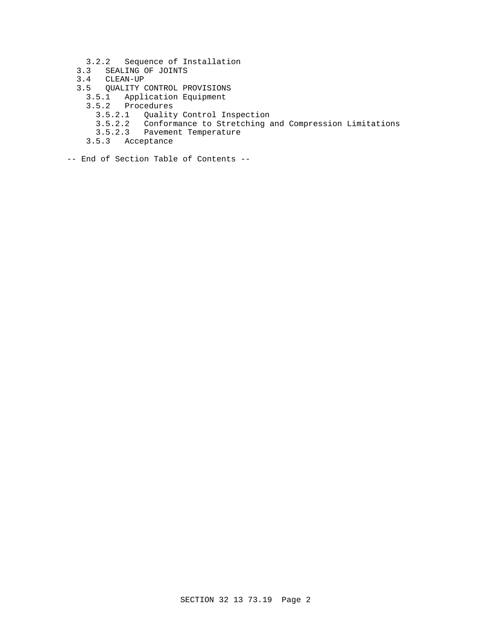- 3.2.2 Sequence of Installation
- 3.3 SEALING OF JOINTS
- 3.4 CLEAN-UP
- 3.5 QUALITY CONTROL PROVISIONS
	- 3.5.1 Application Equipment
	- 3.5.2 Procedures
		- 3.5.2.1 Quality Control Inspection
		- 3.5.2.2 Conformance to Stretching and Compression Limitations
		- 3.5.2.3 Pavement Temperature
	- 3.5.3 Acceptance
- -- End of Section Table of Contents --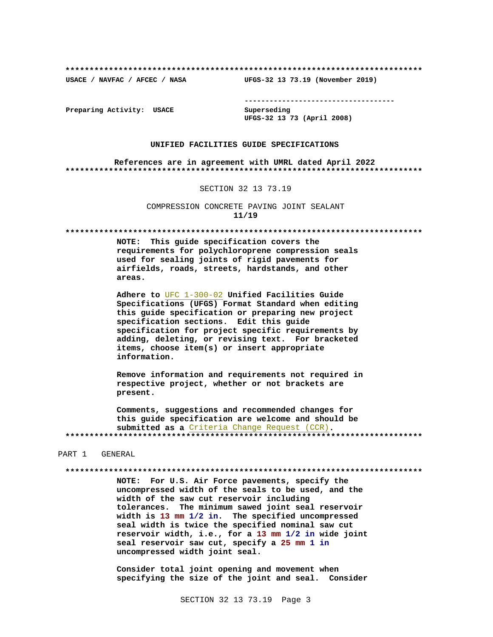USACE / NAVFAC / AFCEC / NASA

--------------------------------------

Preparing Activity: USACE

Superseding UFGS-32 13 73 (April 2008)

UFGS-32 13 73.19 (November 2019)

#### UNIFIED FACILITIES GUIDE SPECIFICATIONS

References are in agreement with UMRL dated April 2022 

#### SECTION 32 13 73.19

COMPRESSION CONCRETE PAVING JOINT SEALANT  $11/19$ 

NOTE: This guide specification covers the requirements for polychloroprene compression seals used for sealing joints of rigid pavements for airfields, roads, streets, hardstands, and other areas.

Adhere to UFC 1-300-02 Unified Facilities Guide Specifications (UFGS) Format Standard when editing this guide specification or preparing new project specification sections. Edit this guide specification for project specific requirements by adding, deleting, or revising text. For bracketed items, choose item(s) or insert appropriate information.

Remove information and requirements not required in respective project, whether or not brackets are present.

Comments, suggestions and recommended changes for this guide specification are welcome and should be submitted as a Criteria Change Request (CCR). 

#### PART 1 GENERAL

NOTE: For U.S. Air Force pavements, specify the uncompressed width of the seals to be used, and the width of the saw cut reservoir including tolerances. The minimum sawed joint seal reservoir width is 13 mm 1/2 in. The specified uncompressed seal width is twice the specified nominal saw cut reservoir width, i.e., for a 13 mm 1/2 in wide joint seal reservoir saw cut, specify a 25 mm 1 in uncompressed width joint seal.

Consider total joint opening and movement when specifying the size of the joint and seal. Consider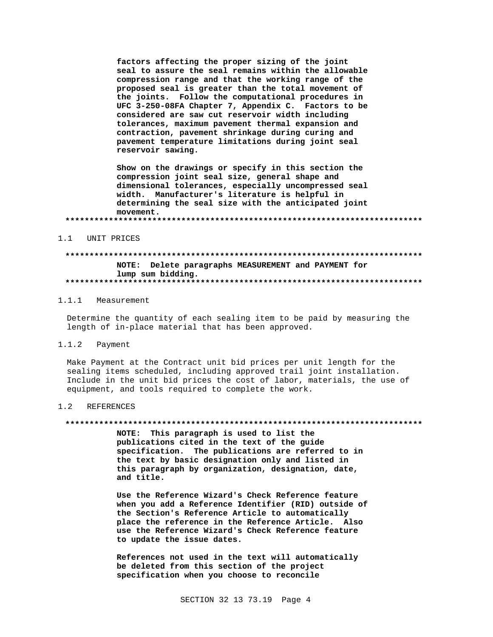factors affecting the proper sizing of the joint seal to assure the seal remains within the allowable compression range and that the working range of the proposed seal is greater than the total movement of the joints. Follow the computational procedures in UFC 3-250-08FA Chapter 7, Appendix C. Factors to be considered are saw cut reservoir width including tolerances, maximum pavement thermal expansion and contraction, pavement shrinkage during curing and pavement temperature limitations during joint seal reservoir sawing.

Show on the drawings or specify in this section the compression joint seal size, general shape and dimensional tolerances, especially uncompressed seal width. Manufacturer's literature is helpful in determining the seal size with the anticipated joint movement. 

#### UNIT PRICES  $1.1$

# NOTE: Delete paragraphs MEASUREMENT and PAYMENT for lump sum bidding.

#### 1 1 1 Measurement

Determine the quantity of each sealing item to be paid by measuring the length of in-place material that has been approved.

#### $1.1.2$ Payment

Make Payment at the Contract unit bid prices per unit length for the sealing items scheduled, including approved trail joint installation. Include in the unit bid prices the cost of labor, materials, the use of equipment, and tools required to complete the work.

#### $1.2$ **REFERENCES**

#### 

NOTE: This paragraph is used to list the publications cited in the text of the guide specification. The publications are referred to in the text by basic designation only and listed in this paragraph by organization, designation, date, and title.

Use the Reference Wizard's Check Reference feature when you add a Reference Identifier (RID) outside of the Section's Reference Article to automatically place the reference in the Reference Article. Also use the Reference Wizard's Check Reference feature to update the issue dates.

References not used in the text will automatically be deleted from this section of the project specification when you choose to reconcile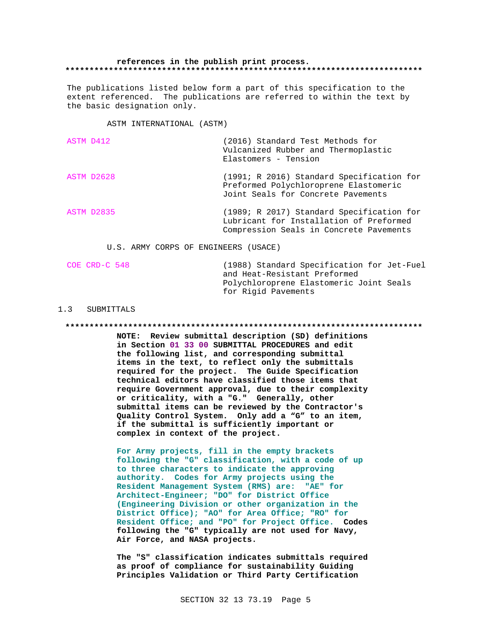#### references in the publish print process.

The publications listed below form a part of this specification to the extent referenced. The publications are referred to within the text by the basic designation only.

ASTM INTERNATIONAL (ASTM)

| ASTM D412  | (2016) Standard Test Methods for<br>Vulcanized Rubber and Thermoplastic<br>Elastomers - Tension                                 |
|------------|---------------------------------------------------------------------------------------------------------------------------------|
| ASTM D2628 | (1991; R 2016) Standard Specification for<br>Preformed Polychloroprene Elastomeric<br>Joint Seals for Concrete Pavements        |
| ASTM D2835 | (1989; R 2017) Standard Specification for<br>Lubricant for Installation of Preformed<br>Compression Seals in Concrete Pavements |

U.S. ARMY CORPS OF ENGINEERS (USACE)

| COE CRD-C 548 | (1988) Standard Specification for Jet-Fuel<br>and Heat-Resistant Preformed |
|---------------|----------------------------------------------------------------------------|
|               | Polychloroprene Elastomeric Joint Seals<br>for Rigid Pavements             |

### 1.3 SUBMITTALS

NOTE: Review submittal description (SD) definitions in Section 01 33 00 SUBMITTAL PROCEDURES and edit the following list, and corresponding submittal items in the text, to reflect only the submittals required for the project. The Guide Specification technical editors have classified those items that require Government approval, due to their complexity or criticality, with a "G." Generally, other submittal items can be reviewed by the Contractor's Quality Control System. Only add a "G" to an item, if the submittal is sufficiently important or complex in context of the project.

For Army projects, fill in the empty brackets following the "G" classification, with a code of up to three characters to indicate the approving authority. Codes for Army projects using the Resident Management System (RMS) are: "AE" for Architect-Engineer; "DO" for District Office (Engineering Division or other organization in the District Office); "AO" for Area Office; "RO" for Resident Office; and "PO" for Project Office. Codes following the "G" typically are not used for Navy, Air Force, and NASA projects.

The "S" classification indicates submittals required as proof of compliance for sustainability Guiding Principles Validation or Third Party Certification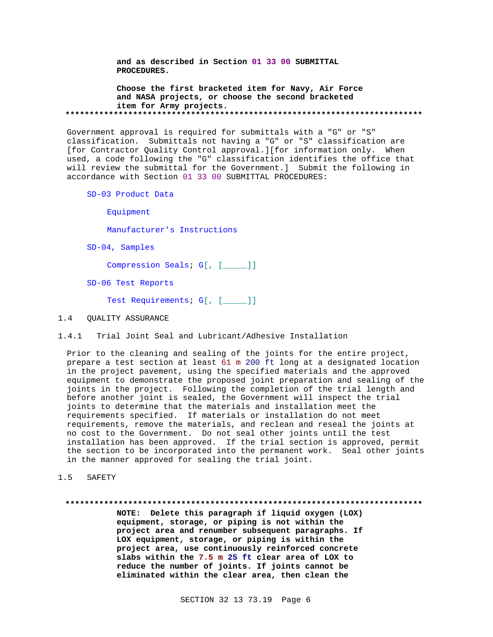**and as described in Section 01 33 00 SUBMITTAL PROCEDURES.**

**Choose the first bracketed item for Navy, Air Force and NASA projects, or choose the second bracketed item for Army projects. \*\*\*\*\*\*\*\*\*\*\*\*\*\*\*\*\*\*\*\*\*\*\*\*\*\*\*\*\*\*\*\*\*\*\*\*\*\*\*\*\*\*\*\*\*\*\*\*\*\*\*\*\*\*\*\*\*\*\*\*\*\*\*\*\*\*\*\*\*\*\*\*\*\***

Government approval is required for submittals with a "G" or "S" classification. Submittals not having a "G" or "S" classification are [for Contractor Quality Control approval.][for information only. When used, a code following the "G" classification identifies the office that will review the submittal for the Government.] Submit the following in accordance with Section 01 33 00 SUBMITTAL PROCEDURES:

SD-03 Product Data

Equipment

Manufacturer's Instructions

SD-04, Samples

Compression Seals; G[, [\_\_\_\_\_]]

SD-06 Test Reports

Test Requirements; G[, [\_\_\_\_]]

### 1.4 QUALITY ASSURANCE

1.4.1 Trial Joint Seal and Lubricant/Adhesive Installation

Prior to the cleaning and sealing of the joints for the entire project, prepare a test section at least 61 m 200 ft long at a designated location in the project pavement, using the specified materials and the approved equipment to demonstrate the proposed joint preparation and sealing of the joints in the project. Following the completion of the trial length and before another joint is sealed, the Government will inspect the trial joints to determine that the materials and installation meet the requirements specified. If materials or installation do not meet requirements, remove the materials, and reclean and reseal the joints at no cost to the Government. Do not seal other joints until the test installation has been approved. If the trial section is approved, permit the section to be incorporated into the permanent work. Seal other joints in the manner approved for sealing the trial joint.

1.5 SAFETY

# **\*\*\*\*\*\*\*\*\*\*\*\*\*\*\*\*\*\*\*\*\*\*\*\*\*\*\*\*\*\*\*\*\*\*\*\*\*\*\*\*\*\*\*\*\*\*\*\*\*\*\*\*\*\*\*\*\*\*\*\*\*\*\*\*\*\*\*\*\*\*\*\*\*\***

**NOTE: Delete this paragraph if liquid oxygen (LOX) equipment, storage, or piping is not within the project area and renumber subsequent paragraphs. If LOX equipment, storage, or piping is within the project area, use continuously reinforced concrete slabs within the 7.5 m 25 ft clear area of LOX to reduce the number of joints. If joints cannot be eliminated within the clear area, then clean the**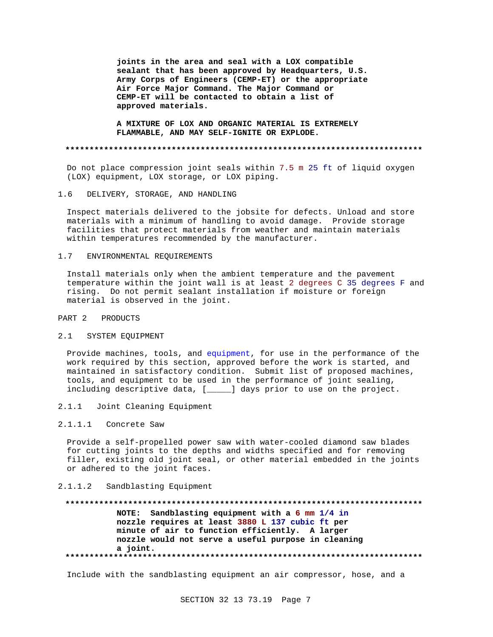**joints in the area and seal with a LOX compatible sealant that has been approved by Headquarters, U.S. Army Corps of Engineers (CEMP-ET) or the appropriate Air Force Major Command. The Major Command or CEMP-ET will be contacted to obtain a list of approved materials.**

**A MIXTURE OF LOX AND ORGANIC MATERIAL IS EXTREMELY FLAMMABLE, AND MAY SELF-IGNITE OR EXPLODE.**

#### **\*\*\*\*\*\*\*\*\*\*\*\*\*\*\*\*\*\*\*\*\*\*\*\*\*\*\*\*\*\*\*\*\*\*\*\*\*\*\*\*\*\*\*\*\*\*\*\*\*\*\*\*\*\*\*\*\*\*\*\*\*\*\*\*\*\*\*\*\*\*\*\*\*\***

Do not place compression joint seals within 7.5 m 25 ft of liquid oxygen (LOX) equipment, LOX storage, or LOX piping.

# 1.6 DELIVERY, STORAGE, AND HANDLING

Inspect materials delivered to the jobsite for defects. Unload and store materials with a minimum of handling to avoid damage. Provide storage facilities that protect materials from weather and maintain materials within temperatures recommended by the manufacturer.

#### 1.7 ENVIRONMENTAL REQUIREMENTS

Install materials only when the ambient temperature and the pavement temperature within the joint wall is at least 2 degrees C 35 degrees F and rising. Do not permit sealant installation if moisture or foreign material is observed in the joint.

### PART 2 PRODUCTS

#### 2.1 SYSTEM EQUIPMENT

Provide machines, tools, and equipment, for use in the performance of the work required by this section, approved before the work is started, and maintained in satisfactory condition. Submit list of proposed machines, tools, and equipment to be used in the performance of joint sealing, including descriptive data, [\_\_\_\_\_] days prior to use on the project.

2.1.1 Joint Cleaning Equipment

# 2.1.1.1 Concrete Saw

Provide a self-propelled power saw with water-cooled diamond saw blades for cutting joints to the depths and widths specified and for removing filler, existing old joint seal, or other material embedded in the joints or adhered to the joint faces.

## 2.1.1.2 Sandblasting Equipment

**\*\*\*\*\*\*\*\*\*\*\*\*\*\*\*\*\*\*\*\*\*\*\*\*\*\*\*\*\*\*\*\*\*\*\*\*\*\*\*\*\*\*\*\*\*\*\*\*\*\*\*\*\*\*\*\*\*\*\*\*\*\*\*\*\*\*\*\*\*\*\*\*\*\* NOTE: Sandblasting equipment with a 6 mm 1/4 in nozzle requires at least 3880 L 137 cubic ft per minute of air to function efficiently. A larger nozzle would not serve a useful purpose in cleaning a joint. \*\*\*\*\*\*\*\*\*\*\*\*\*\*\*\*\*\*\*\*\*\*\*\*\*\*\*\*\*\*\*\*\*\*\*\*\*\*\*\*\*\*\*\*\*\*\*\*\*\*\*\*\*\*\*\*\*\*\*\*\*\*\*\*\*\*\*\*\*\*\*\*\*\***

Include with the sandblasting equipment an air compressor, hose, and a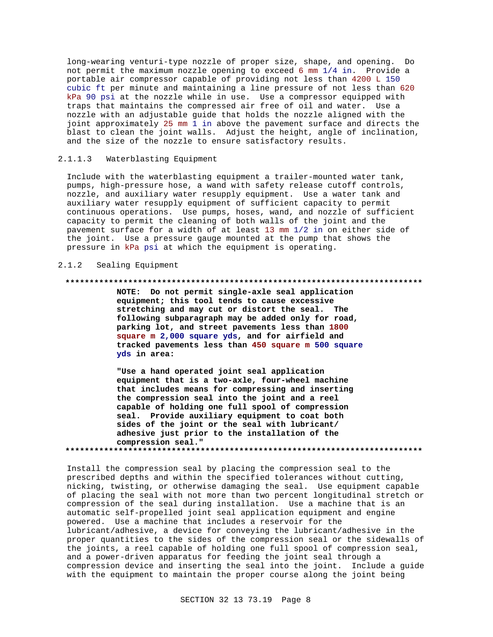long-wearing venturi-type nozzle of proper size, shape, and opening. Do not permit the maximum nozzle opening to exceed 6 mm 1/4 in. Provide a portable air compressor capable of providing not less than 4200 L 150 cubic ft per minute and maintaining a line pressure of not less than 620 kPa 90 psi at the nozzle while in use. Use a compressor equipped with traps that maintains the compressed air free of oil and water. Use a nozzle with an adjustable guide that holds the nozzle aligned with the joint approximately 25 mm 1 in above the pavement surface and directs the blast to clean the joint walls. Adjust the height, angle of inclination, and the size of the nozzle to ensure satisfactory results.

# 2.1.1.3 Waterblasting Equipment

Include with the waterblasting equipment a trailer-mounted water tank, pumps, high-pressure hose, a wand with safety release cutoff controls, nozzle, and auxiliary water resupply equipment. Use a water tank and auxiliary water resupply equipment of sufficient capacity to permit continuous operations. Use pumps, hoses, wand, and nozzle of sufficient capacity to permit the cleaning of both walls of the joint and the pavement surface for a width of at least 13 mm 1/2 in on either side of the joint. Use a pressure gauge mounted at the pump that shows the pressure in kPa psi at which the equipment is operating.

# 2.1.2 Sealing Equipment

### **\*\*\*\*\*\*\*\*\*\*\*\*\*\*\*\*\*\*\*\*\*\*\*\*\*\*\*\*\*\*\*\*\*\*\*\*\*\*\*\*\*\*\*\*\*\*\*\*\*\*\*\*\*\*\*\*\*\*\*\*\*\*\*\*\*\*\*\*\*\*\*\*\*\***

**NOTE: Do not permit single-axle seal application equipment; this tool tends to cause excessive stretching and may cut or distort the seal. The following subparagraph may be added only for road, parking lot, and street pavements less than 1800 square m 2,000 square yds, and for airfield and tracked pavements less than 450 square m 500 square yds in area:**

**"Use a hand operated joint seal application equipment that is a two-axle, four-wheel machine that includes means for compressing and inserting the compression seal into the joint and a reel capable of holding one full spool of compression seal. Provide auxiliary equipment to coat both sides of the joint or the seal with lubricant/ adhesive just prior to the installation of the compression seal." \*\*\*\*\*\*\*\*\*\*\*\*\*\*\*\*\*\*\*\*\*\*\*\*\*\*\*\*\*\*\*\*\*\*\*\*\*\*\*\*\*\*\*\*\*\*\*\*\*\*\*\*\*\*\*\*\*\*\*\*\*\*\*\*\*\*\*\*\*\*\*\*\*\***

Install the compression seal by placing the compression seal to the prescribed depths and within the specified tolerances without cutting, nicking, twisting, or otherwise damaging the seal. Use equipment capable of placing the seal with not more than two percent longitudinal stretch or compression of the seal during installation. Use a machine that is an automatic self-propelled joint seal application equipment and engine powered. Use a machine that includes a reservoir for the lubricant/adhesive, a device for conveying the lubricant/adhesive in the proper quantities to the sides of the compression seal or the sidewalls of the joints, a reel capable of holding one full spool of compression seal, and a power-driven apparatus for feeding the joint seal through a compression device and inserting the seal into the joint. Include a guide with the equipment to maintain the proper course along the joint being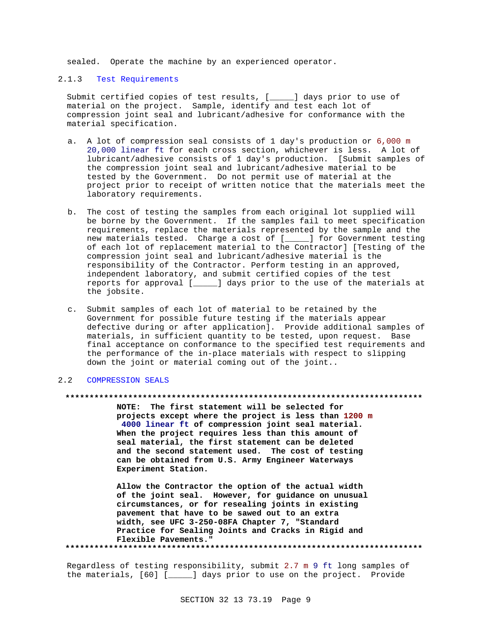sealed. Operate the machine by an experienced operator.

# 2.1.3 Test Requirements

Submit certified copies of test results, [\_\_\_\_\_] days prior to use of material on the project. Sample, identify and test each lot of compression joint seal and lubricant/adhesive for conformance with the material specification.

- a. A lot of compression seal consists of 1 day's production or 6,000 m 20,000 linear ft for each cross section, whichever is less. A lot of lubricant/adhesive consists of 1 day's production. [Submit samples of the compression joint seal and lubricant/adhesive material to be tested by the Government. Do not permit use of material at the project prior to receipt of written notice that the materials meet the laboratory requirements.
- b. The cost of testing the samples from each original lot supplied will be borne by the Government. If the samples fail to meet specification requirements, replace the materials represented by the sample and the new materials tested. Charge a cost of [\_\_\_\_\_] for Government testing of each lot of replacement material to the Contractor] [Testing of the compression joint seal and lubricant/adhesive material is the responsibility of the Contractor. Perform testing in an approved, independent laboratory, and submit certified copies of the test reports for approval [\_\_\_\_\_] days prior to the use of the materials at the jobsite.
- c. Submit samples of each lot of material to be retained by the Government for possible future testing if the materials appear defective during or after application]. Provide additional samples of materials, in sufficient quantity to be tested, upon request. Base final acceptance on conformance to the specified test requirements and the performance of the in-place materials with respect to slipping down the joint or material coming out of the joint..

### 2.2 COMPRESSION SEALS

#### **\*\*\*\*\*\*\*\*\*\*\*\*\*\*\*\*\*\*\*\*\*\*\*\*\*\*\*\*\*\*\*\*\*\*\*\*\*\*\*\*\*\*\*\*\*\*\*\*\*\*\*\*\*\*\*\*\*\*\*\*\*\*\*\*\*\*\*\*\*\*\*\*\*\***

**NOTE: The first statement will be selected for projects except where the project is less than 1200 m 4000 linear ft of compression joint seal material. When the project requires less than this amount of seal material, the first statement can be deleted and the second statement used. The cost of testing can be obtained from U.S. Army Engineer Waterways Experiment Station.**

**Allow the Contractor the option of the actual width of the joint seal. However, for guidance on unusual circumstances, or for resealing joints in existing pavement that have to be sawed out to an extra width, see UFC 3-250-08FA Chapter 7, "Standard Practice for Sealing Joints and Cracks in Rigid and Flexible Pavements." \*\*\*\*\*\*\*\*\*\*\*\*\*\*\*\*\*\*\*\*\*\*\*\*\*\*\*\*\*\*\*\*\*\*\*\*\*\*\*\*\*\*\*\*\*\*\*\*\*\*\*\*\*\*\*\*\*\*\*\*\*\*\*\*\*\*\*\*\*\*\*\*\*\***

Regardless of testing responsibility, submit 2.7 m 9 ft long samples of the materials, [60] [\_\_\_\_\_] days prior to use on the project. Provide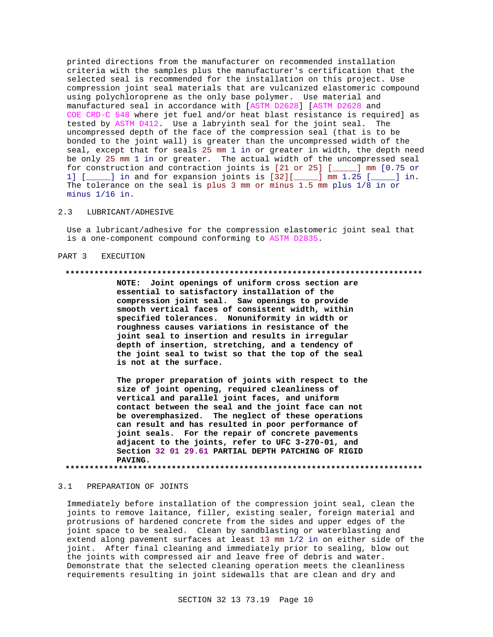printed directions from the manufacturer on recommended installation criteria with the samples plus the manufacturer's certification that the selected seal is recommended for the installation on this project. Use compression joint seal materials that are vulcanized elastomeric compound using polychloroprene as the only base polymer. Use material and manufactured seal in accordance with [ASTM D2628] [ASTM D2628 and COE CRD-C 548 where jet fuel and/or heat blast resistance is required] as tested by ASTM D412. Use a labryinth seal for the joint seal. The uncompressed depth of the face of the compression seal (that is to be bonded to the joint wall) is greater than the uncompressed width of the seal, except that for seals 25 mm 1 in or greater in width, the depth need be only 25 mm 1 in or greater. The actual width of the uncompressed seal for construction and contraction joints is [21 or 25] [\_\_\_\_\_] mm [0.75 or 1] [\_\_\_\_\_] in and for expansion joints is [32][\_\_\_\_\_] mm 1.25 [\_\_\_\_\_] in. The tolerance on the seal is plus 3 mm or minus 1.5 mm plus 1/8 in or minus 1/16 in.

## 2.3 LUBRICANT/ADHESIVE

Use a lubricant/adhesive for the compression elastomeric joint seal that is a one-component compound conforming to ASTM D2835.

### PART 3 EXECUTION

#### **\*\*\*\*\*\*\*\*\*\*\*\*\*\*\*\*\*\*\*\*\*\*\*\*\*\*\*\*\*\*\*\*\*\*\*\*\*\*\*\*\*\*\*\*\*\*\*\*\*\*\*\*\*\*\*\*\*\*\*\*\*\*\*\*\*\*\*\*\*\*\*\*\*\***

**NOTE: Joint openings of uniform cross section are essential to satisfactory installation of the compression joint seal. Saw openings to provide smooth vertical faces of consistent width, within specified tolerances. Nonuniformity in width or roughness causes variations in resistance of the joint seal to insertion and results in irregular depth of insertion, stretching, and a tendency of the joint seal to twist so that the top of the seal is not at the surface.**

**The proper preparation of joints with respect to the size of joint opening, required cleanliness of vertical and parallel joint faces, and uniform contact between the seal and the joint face can not be overemphasized. The neglect of these operations can result and has resulted in poor performance of joint seals. For the repair of concrete pavements adjacent to the joints, refer to UFC 3-270-01, and Section 32 01 29.61 PARTIAL DEPTH PATCHING OF RIGID PAVING.**

**\*\*\*\*\*\*\*\*\*\*\*\*\*\*\*\*\*\*\*\*\*\*\*\*\*\*\*\*\*\*\*\*\*\*\*\*\*\*\*\*\*\*\*\*\*\*\*\*\*\*\*\*\*\*\*\*\*\*\*\*\*\*\*\*\*\*\*\*\*\*\*\*\*\***

### 3.1 PREPARATION OF JOINTS

Immediately before installation of the compression joint seal, clean the joints to remove laitance, filler, existing sealer, foreign material and protrusions of hardened concrete from the sides and upper edges of the joint space to be sealed. Clean by sandblasting or waterblasting and extend along pavement surfaces at least 13 mm 1/2 in on either side of the joint. After final cleaning and immediately prior to sealing, blow out the joints with compressed air and leave free of debris and water. Demonstrate that the selected cleaning operation meets the cleanliness requirements resulting in joint sidewalls that are clean and dry and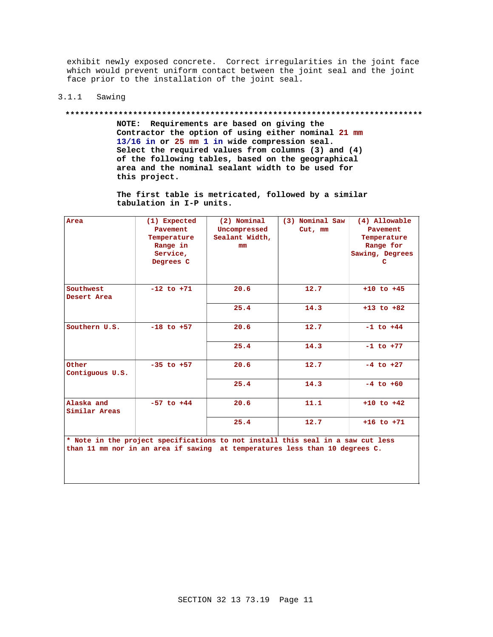exhibit newly exposed concrete. Correct irregularities in the joint face which would prevent uniform contact between the joint seal and the joint face prior to the installation of the joint seal.

# 3.1.1 Sawing

#### **\*\*\*\*\*\*\*\*\*\*\*\*\*\*\*\*\*\*\*\*\*\*\*\*\*\*\*\*\*\*\*\*\*\*\*\*\*\*\*\*\*\*\*\*\*\*\*\*\*\*\*\*\*\*\*\*\*\*\*\*\*\*\*\*\*\*\*\*\*\*\*\*\*\***

**NOTE: Requirements are based on giving the Contractor the option of using either nominal 21 mm 13/16 in or 25 mm 1 in wide compression seal. Select the required values from columns (3) and (4) of the following tables, based on the geographical area and the nominal sealant width to be used for this project.**

**The first table is metricated, followed by a similar tabulation in I-P units.**

| Area                                                                            | (1) Expected   | (2) Nominal    | (3) Nominal Saw | (4) Allowable   |  |
|---------------------------------------------------------------------------------|----------------|----------------|-----------------|-----------------|--|
|                                                                                 | Pavement       | Uncompressed   | Cut, mm         | Pavement        |  |
|                                                                                 | Temperature    | Sealant Width, |                 | Temperature     |  |
|                                                                                 | Range in       | mm.            |                 | Range for       |  |
|                                                                                 | Service,       |                |                 | Sawing, Degrees |  |
|                                                                                 | Degrees C      |                |                 | c               |  |
|                                                                                 |                |                |                 |                 |  |
|                                                                                 |                |                |                 |                 |  |
| Southwest                                                                       | $-12$ to $+71$ | 20.6           | 12.7            | $+10$ to $+45$  |  |
| Desert Area                                                                     |                |                |                 |                 |  |
|                                                                                 |                | 25.4           | 14.3            | $+13$ to $+82$  |  |
|                                                                                 |                |                |                 |                 |  |
| Southern U.S.                                                                   | $-18$ to $+57$ | 20.6           | 12.7            | $-1$ to $+44$   |  |
|                                                                                 |                |                |                 |                 |  |
|                                                                                 |                | 25.4           | 14.3            | $-1$ to $+77$   |  |
|                                                                                 |                |                |                 |                 |  |
| Other                                                                           | $-35$ to $+57$ | 20.6           | 12.7            | $-4$ to $+27$   |  |
| Contiguous U.S.                                                                 |                |                |                 |                 |  |
|                                                                                 |                | 25.4           | 14.3            | $-4$ to $+60$   |  |
|                                                                                 |                |                |                 |                 |  |
| Alaska and                                                                      | $-57$ to $+44$ | 20.6           | 11.1            | $+10$ to $+42$  |  |
| Similar Areas                                                                   |                |                |                 |                 |  |
|                                                                                 |                | 25.4           | 12.7            | $+16$ to $+71$  |  |
|                                                                                 |                |                |                 |                 |  |
| * Note in the project specifications to not install this seal in a saw cut less |                |                |                 |                 |  |
| than 11 mm nor in an area if sawing at temperatures less than 10 degrees C.     |                |                |                 |                 |  |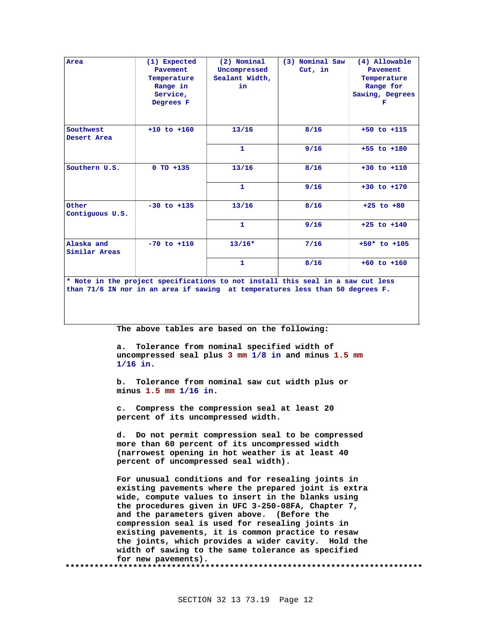| Area                                                                                                                                                             | (1) Expected<br><b>Pavement</b><br>Temperature<br>Range in<br>Service,<br>Degrees F | (2) Nominal<br>Uncompressed<br>Sealant Width,<br>in | (3) Nominal Saw<br>Cut, in | (4) Allowable<br>Pavement<br>Temperature<br>Range for<br>Sawing, Degrees<br>F |  |
|------------------------------------------------------------------------------------------------------------------------------------------------------------------|-------------------------------------------------------------------------------------|-----------------------------------------------------|----------------------------|-------------------------------------------------------------------------------|--|
| Southwest<br>Desert Area                                                                                                                                         | $+10$ to $+160$                                                                     | 13/16                                               | $8/16$                     | $+50$ to $+115$                                                               |  |
|                                                                                                                                                                  |                                                                                     | $\mathbf{1}$                                        | 9/16                       | $+55$ to $+180$                                                               |  |
| Southern U.S.                                                                                                                                                    | $0$ TO $+135$                                                                       | 13/16                                               | 8/16                       | $+30$ to $+110$                                                               |  |
|                                                                                                                                                                  |                                                                                     | $\mathbf{1}$                                        | 9/16                       | $+30$ to $+170$                                                               |  |
| Other<br>Contiguous U.S.                                                                                                                                         | $-30$ to $+135$                                                                     | 13/16                                               | $8/16$                     | $+25$ to $+80$                                                                |  |
|                                                                                                                                                                  |                                                                                     | $\mathbf{1}$                                        | 9/16                       | $+25$ to $+140$                                                               |  |
| Alaska and<br>Similar Areas                                                                                                                                      | $-70$ to $+110$                                                                     | $13/16*$                                            | 7/16                       | $+50*$ to $+105$                                                              |  |
|                                                                                                                                                                  |                                                                                     | $\mathbf{1}$                                        | $8/16$                     | $+60$ to $+160$                                                               |  |
| * Note in the project specifications to not install this seal in a saw cut less<br>than 71/6 IN nor in an area if sawing at temperatures less than 50 degrees F. |                                                                                     |                                                     |                            |                                                                               |  |

The above tables are based on the following:

a. Tolerance from nominal specified width of uncompressed seal plus 3 mm 1/8 in and minus 1.5 mm  $1/16$  in.

b. Tolerance from nominal saw cut width plus or minus 1.5 mm 1/16 in.

c. Compress the compression seal at least 20 percent of its uncompressed width.

d. Do not permit compression seal to be compressed more than 60 percent of its uncompressed width (narrowest opening in hot weather is at least 40 percent of uncompressed seal width).

For unusual conditions and for resealing joints in existing pavements where the prepared joint is extra wide, compute values to insert in the blanks using the procedures given in UFC 3-250-08FA, Chapter 7, and the parameters given above. (Before the compression seal is used for resealing joints in existing pavements, it is common practice to resaw the joints, which provides a wider cavity. Hold the width of sawing to the same tolerance as specified for new pavements). \*\*\*\*\*\*\*\*\*\* \*\*\*\*\*\*\*\*\*\*\*\*\*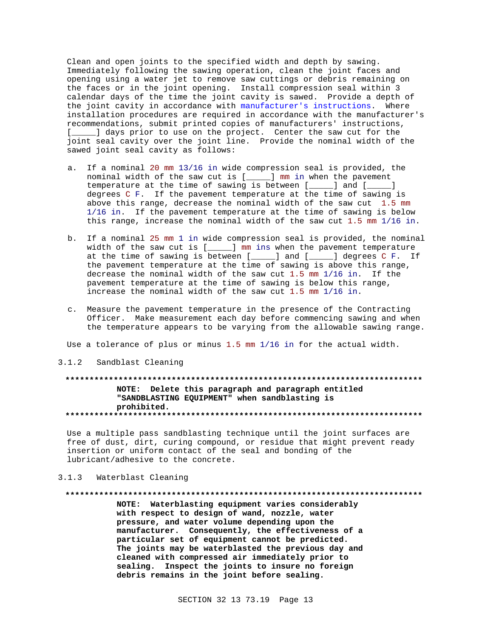Clean and open joints to the specified width and depth by sawing. Immediately following the sawing operation, clean the joint faces and opening using a water jet to remove saw cuttings or debris remaining on the faces or in the joint opening. Install compression seal within 3 calendar days of the time the joint cavity is sawed. Provide a depth of the joint cavity in accordance with manufacturer's instructions. Where installation procedures are required in accordance with the manufacturer's recommendations, submit printed copies of manufacturers' instructions, [\_\_\_\_\_] days prior to use on the project. Center the saw cut for the joint seal cavity over the joint line. Provide the nominal width of the sawed joint seal cavity as follows:

- a. If a nominal 20 mm 13/16 in wide compression seal is provided, the nominal width of the saw cut is [\_\_\_\_\_] mm in when the pavement temperature at the time of sawing is between [\_\_\_\_\_] and [\_\_\_\_\_] degrees C F. If the pavement temperature at the time of sawing is above this range, decrease the nominal width of the saw cut 1.5 mm 1/16 in. If the pavement temperature at the time of sawing is below this range, increase the nominal width of the saw cut 1.5 mm 1/16 in.
- b. If a nominal 25 mm 1 in wide compression seal is provided, the nominal width of the saw cut is [\_\_\_\_\_] mm ins when the pavement temperature at the time of sawing is between [\_\_\_\_\_] and [\_\_\_\_\_] degrees C F. If the pavement temperature at the time of sawing is above this range, decrease the nominal width of the saw cut 1.5 mm 1/16 in. If the pavement temperature at the time of sawing is below this range, increase the nominal width of the saw cut 1.5 mm 1/16 in.
- c. Measure the pavement temperature in the presence of the Contracting Officer. Make measurement each day before commencing sawing and when the temperature appears to be varying from the allowable sawing range.

Use a tolerance of plus or minus 1.5 mm 1/16 in for the actual width.

3.1.2 Sandblast Cleaning

# **\*\*\*\*\*\*\*\*\*\*\*\*\*\*\*\*\*\*\*\*\*\*\*\*\*\*\*\*\*\*\*\*\*\*\*\*\*\*\*\*\*\*\*\*\*\*\*\*\*\*\*\*\*\*\*\*\*\*\*\*\*\*\*\*\*\*\*\*\*\*\*\*\*\* NOTE: Delete this paragraph and paragraph entitled "SANDBLASTING EQUIPMENT" when sandblasting is prohibited. \*\*\*\*\*\*\*\*\*\*\*\*\*\*\*\*\*\*\*\*\*\*\*\*\*\*\*\*\*\*\*\*\*\*\*\*\*\*\*\*\*\*\*\*\*\*\*\*\*\*\*\*\*\*\*\*\*\*\*\*\*\*\*\*\*\*\*\*\*\*\*\*\*\***

Use a multiple pass sandblasting technique until the joint surfaces are free of dust, dirt, curing compound, or residue that might prevent ready insertion or uniform contact of the seal and bonding of the lubricant/adhesive to the concrete.

# 3.1.3 Waterblast Cleaning

#### **\*\*\*\*\*\*\*\*\*\*\*\*\*\*\*\*\*\*\*\*\*\*\*\*\*\*\*\*\*\*\*\*\*\*\*\*\*\*\*\*\*\*\*\*\*\*\*\*\*\*\*\*\*\*\*\*\*\*\*\*\*\*\*\*\*\*\*\*\*\*\*\*\*\***

**NOTE: Waterblasting equipment varies considerably with respect to design of wand, nozzle, water pressure, and water volume depending upon the manufacturer. Consequently, the effectiveness of a particular set of equipment cannot be predicted. The joints may be waterblasted the previous day and cleaned with compressed air immediately prior to sealing. Inspect the joints to insure no foreign debris remains in the joint before sealing.**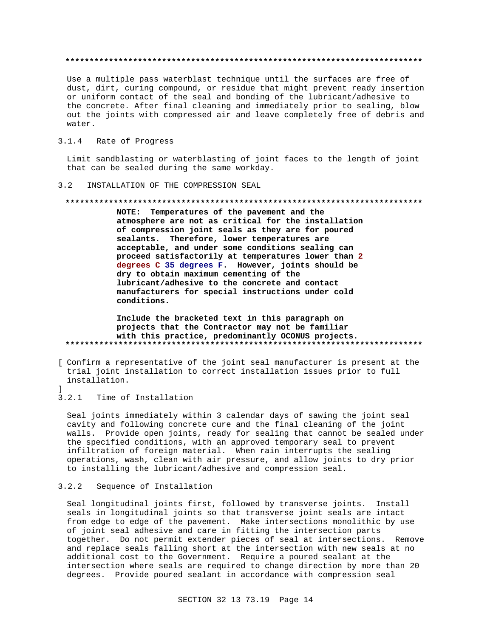Use a multiple pass waterblast technique until the surfaces are free of dust, dirt, curing compound, or residue that might prevent ready insertion or uniform contact of the seal and bonding of the lubricant/adhesive to the concrete. After final cleaning and immediately prior to sealing, blow out the joints with compressed air and leave completely free of debris and water.

#### $3.1.4$ Rate of Progress

Limit sandblasting or waterblasting of joint faces to the length of joint that can be sealed during the same workday.

#### INSTALLATION OF THE COMPRESSION SEAL  $3.2$

### 

NOTE: Temperatures of the pavement and the atmosphere are not as critical for the installation of compression joint seals as they are for poured sealants. Therefore, lower temperatures are acceptable, and under some conditions sealing can proceed satisfactorily at temperatures lower than 2 degrees C 35 degrees F. However, joints should be dry to obtain maximum cementing of the lubricant/adhesive to the concrete and contact manufacturers for special instructions under cold conditions.

# Include the bracketed text in this paragraph on projects that the Contractor may not be familiar with this practice, predominantly OCONUS projects.

- [ Confirm a representative of the joint seal manufacturer is present at the trial joint installation to correct installation issues prior to full installation.
- $\overline{\phantom{a}}$

 $3.2.1$ Time of Installation

Seal joints immediately within 3 calendar days of sawing the joint seal cavity and following concrete cure and the final cleaning of the joint walls. Provide open joints, ready for sealing that cannot be sealed under the specified conditions, with an approved temporary seal to prevent infiltration of foreign material. When rain interrupts the sealing operations, wash, clean with air pressure, and allow joints to dry prior to installing the lubricant/adhesive and compression seal.

#### Sequence of Installation  $3.2.2$

Seal longitudinal joints first, followed by transverse joints. Install seals in longitudinal joints so that transverse joint seals are intact from edge to edge of the pavement. Make intersections monolithic by use of joint seal adhesive and care in fitting the intersection parts together. Do not permit extender pieces of seal at intersections. Remove and replace seals falling short at the intersection with new seals at no additional cost to the Government. Require a poured sealant at the intersection where seals are required to change direction by more than 20 degrees. Provide poured sealant in accordance with compression seal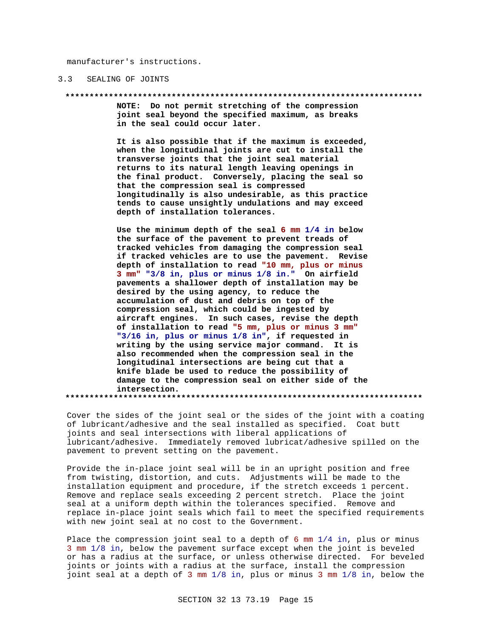manufacturer's instructions.

#### $3.3$ SEALING OF JOINTS

#### \*\*\*\*\*\*\*\*\*\*\*\*\*\*\*\*\*

NOTE: Do not permit stretching of the compression joint seal beyond the specified maximum, as breaks in the seal could occur later.

It is also possible that if the maximum is exceeded, when the longitudinal joints are cut to install the transverse joints that the joint seal material returns to its natural length leaving openings in the final product. Conversely, placing the seal so that the compression seal is compressed longitudinally is also undesirable, as this practice tends to cause unsightly undulations and may exceed depth of installation tolerances.

Use the minimum depth of the seal  $6 \text{ mm } 1/4$  in below the surface of the pavement to prevent treads of tracked vehicles from damaging the compression seal if tracked vehicles are to use the pavement. Revise depth of installation to read "10 mm, plus or minus 3 mm" "3/8 in, plus or minus 1/8 in." On airfield pavements a shallower depth of installation may be desired by the using agency, to reduce the accumulation of dust and debris on top of the compression seal, which could be ingested by aircraft engines. In such cases, revise the depth of installation to read "5 mm, plus or minus 3 mm" "3/16 in, plus or minus 1/8 in", if requested in writing by the using service major command. It is also recommended when the compression seal in the longitudinal intersections are being cut that a knife blade be used to reduce the possibility of damage to the compression seal on either side of the intersection. 

Cover the sides of the joint seal or the sides of the joint with a coating of lubricant/adhesive and the seal installed as specified. Coat butt joints and seal intersections with liberal applications of lubricant/adhesive. Immediately removed lubricat/adhesive spilled on the pavement to prevent setting on the pavement.

Provide the in-place joint seal will be in an upright position and free from twisting, distortion, and cuts. Adjustments will be made to the installation equipment and procedure, if the stretch exceeds 1 percent. Remove and replace seals exceeding 2 percent stretch. Place the joint seal at a uniform depth within the tolerances specified. Remove and replace in-place joint seals which fail to meet the specified requirements with new joint seal at no cost to the Government.

Place the compression joint seal to a depth of  $6 \text{ mm } 1/4$  in, plus or minus 3 mm 1/8 in, below the pavement surface except when the joint is beveled or has a radius at the surface, or unless otherwise directed. For beveled joints or joints with a radius at the surface, install the compression joint seal at a depth of 3 mm 1/8 in, plus or minus 3 mm 1/8 in, below the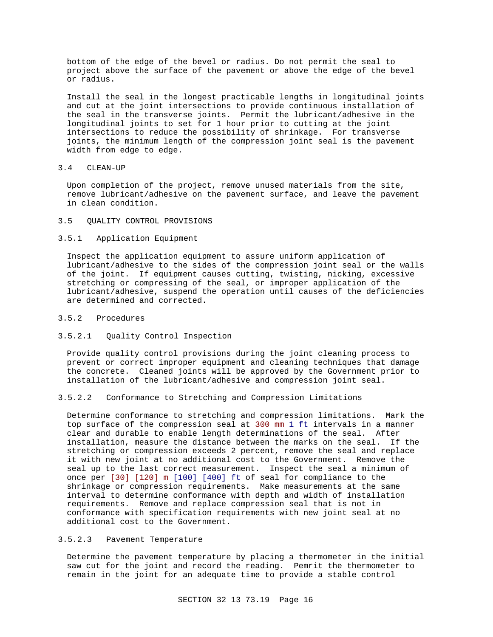bottom of the edge of the bevel or radius. Do not permit the seal to project above the surface of the pavement or above the edge of the bevel or radius.

Install the seal in the longest practicable lengths in longitudinal joints and cut at the joint intersections to provide continuous installation of the seal in the transverse joints. Permit the lubricant/adhesive in the longitudinal joints to set for 1 hour prior to cutting at the joint intersections to reduce the possibility of shrinkage. For transverse joints, the minimum length of the compression joint seal is the pavement width from edge to edge.

### 3.4 CLEAN-UP

Upon completion of the project, remove unused materials from the site, remove lubricant/adhesive on the pavement surface, and leave the pavement in clean condition.

# 3.5 QUALITY CONTROL PROVISIONS

### 3.5.1 Application Equipment

Inspect the application equipment to assure uniform application of lubricant/adhesive to the sides of the compression joint seal or the walls of the joint. If equipment causes cutting, twisting, nicking, excessive stretching or compressing of the seal, or improper application of the lubricant/adhesive, suspend the operation until causes of the deficiencies are determined and corrected.

# 3.5.2 Procedures

## 3.5.2.1 Quality Control Inspection

Provide quality control provisions during the joint cleaning process to prevent or correct improper equipment and cleaning techniques that damage the concrete. Cleaned joints will be approved by the Government prior to installation of the lubricant/adhesive and compression joint seal.

# 3.5.2.2 Conformance to Stretching and Compression Limitations

Determine conformance to stretching and compression limitations. Mark the top surface of the compression seal at 300 mm 1 ft intervals in a manner clear and durable to enable length determinations of the seal. After installation, measure the distance between the marks on the seal. If the stretching or compression exceeds 2 percent, remove the seal and replace it with new joint at no additional cost to the Government. Remove the seal up to the last correct measurement. Inspect the seal a minimum of once per [30] [120] m [100] [400] ft of seal for compliance to the shrinkage or compression requirements. Make measurements at the same interval to determine conformance with depth and width of installation requirements. Remove and replace compression seal that is not in conformance with specification requirements with new joint seal at no additional cost to the Government.

# 3.5.2.3 Pavement Temperature

Determine the pavement temperature by placing a thermometer in the initial saw cut for the joint and record the reading. Pemrit the thermometer to remain in the joint for an adequate time to provide a stable control